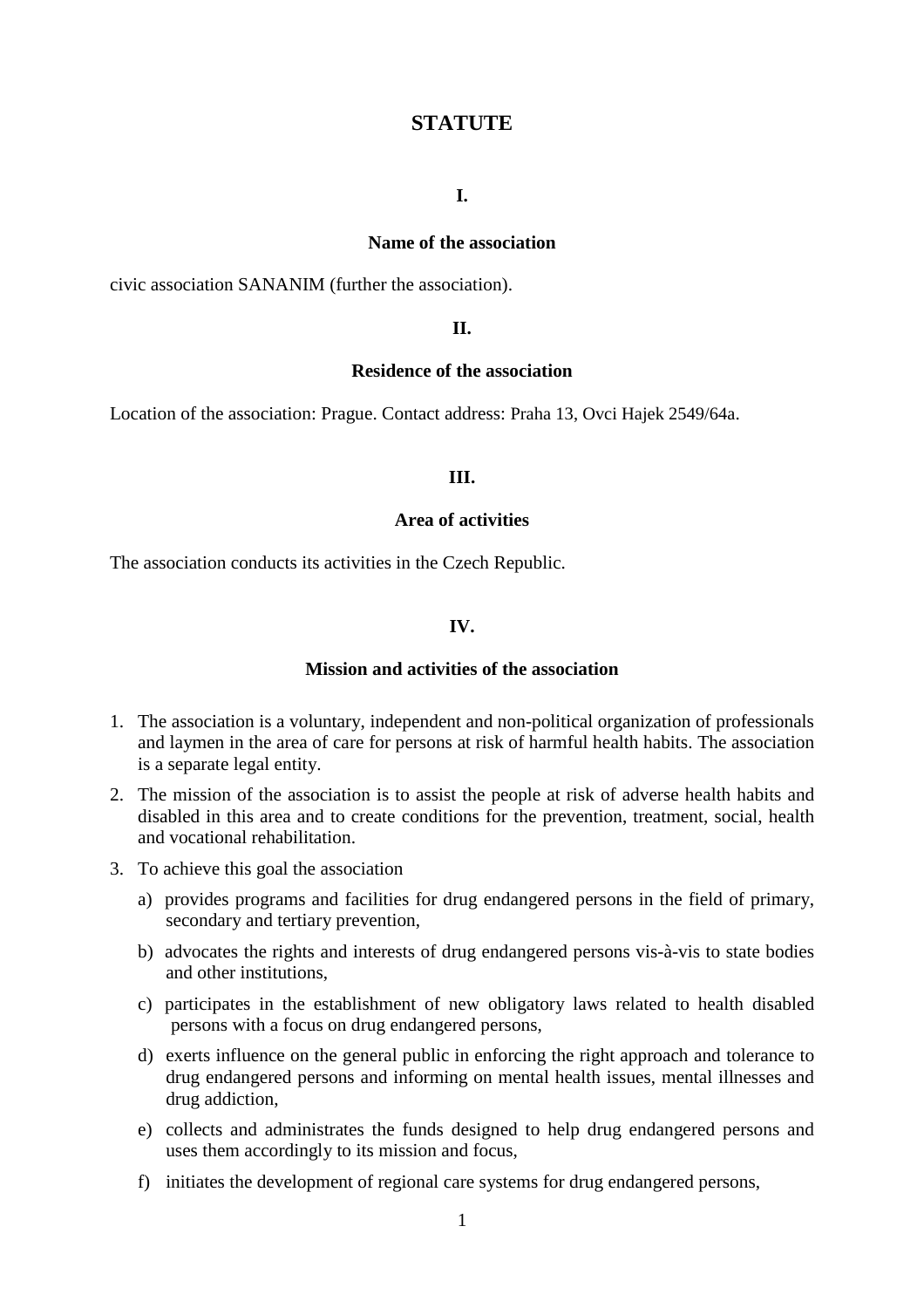# **STATUTE**

### **I.**

#### **Name of the association**

civic association SANANIM (further the association).

### **II.**

### **Residence of the association**

Location of the association: Prague. Contact address: Praha 13, Ovci Hajek 2549/64a.

#### **III.**

# **Area of activities**

The association conducts its activities in the Czech Republic.

### **IV.**

#### **Mission and activities of the association**

- 1. The association is a voluntary, independent and non-political organization of professionals and laymen in the area of care for persons at risk of harmful health habits. The association is a separate legal entity.
- 2. The mission of the association is to assist the people at risk of adverse health habits and disabled in this area and to create conditions for the prevention, treatment, social, health and vocational rehabilitation.
- 3. To achieve this goal the association
	- a) provides programs and facilities for drug endangered persons in the field of primary, secondary and tertiary prevention,
	- b) advocates the rights and interests of drug endangered persons vis-à-vis to state bodies and other institutions,
	- c) participates in the establishment of new obligatory laws related to health disabled persons with a focus on drug endangered persons,
	- d) exerts influence on the general public in enforcing the right approach and tolerance to drug endangered persons and informing on mental health issues, mental illnesses and drug addiction,
	- e) collects and administrates the funds designed to help drug endangered persons and uses them accordingly to its mission and focus,
	- f) initiates the development of regional care systems for drug endangered persons,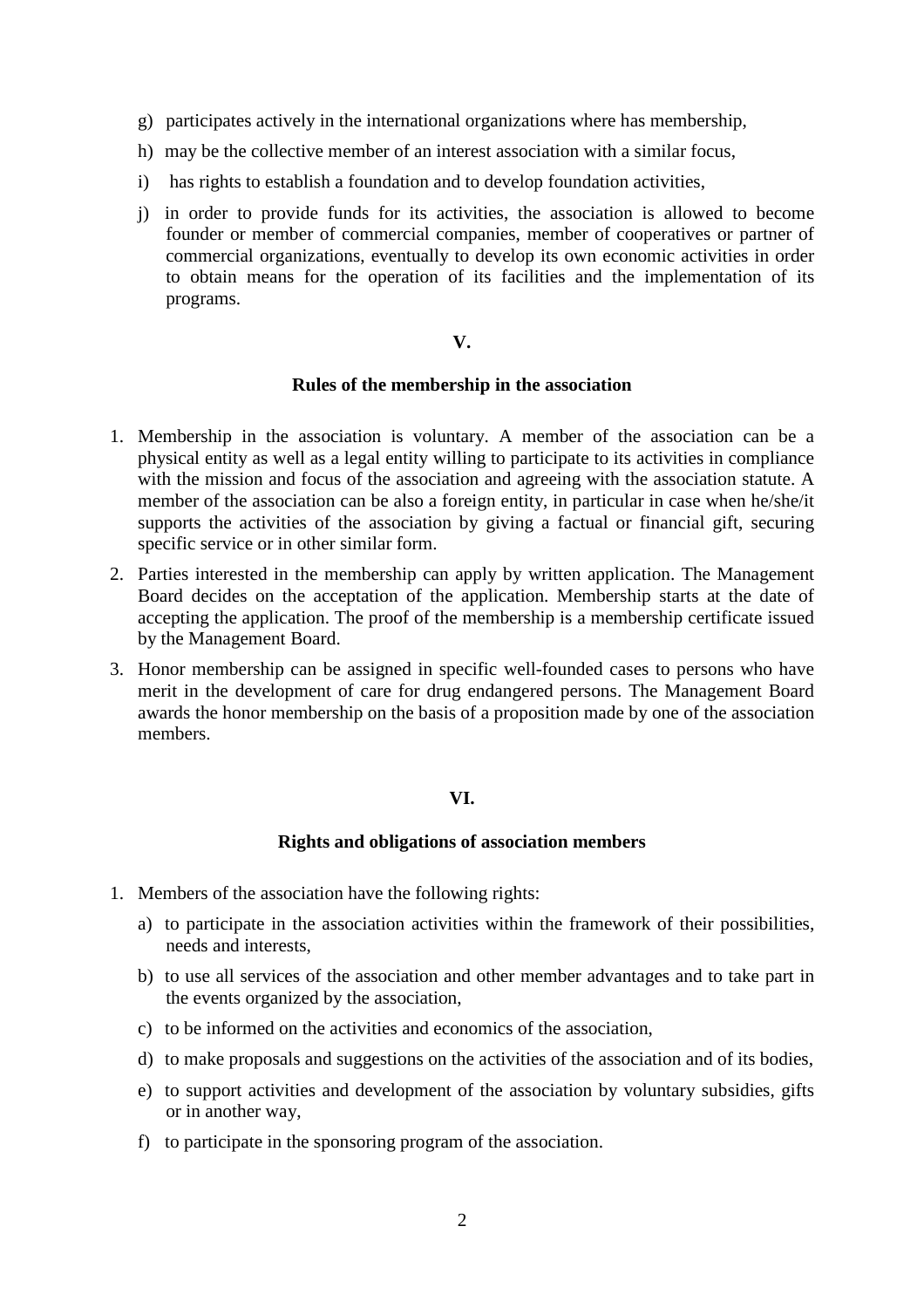- g) participates actively in the international organizations where has membership,
- h) may be the collective member of an interest association with a similar focus,
- i) has rights to establish a foundation and to develop foundation activities,
- j) in order to provide funds for its activities, the association is allowed to become founder or member of commercial companies, member of cooperatives or partner of commercial organizations, eventually to develop its own economic activities in order to obtain means for the operation of its facilities and the implementation of its programs.

# **V.**

# **Rules of the membership in the association**

- 1. Membership in the association is voluntary. A member of the association can be a physical entity as well as a legal entity willing to participate to its activities in compliance with the mission and focus of the association and agreeing with the association statute. A member of the association can be also a foreign entity, in particular in case when he/she/it supports the activities of the association by giving a factual or financial gift, securing specific service or in other similar form.
- 2. Parties interested in the membership can apply by written application. The Management Board decides on the acceptation of the application. Membership starts at the date of accepting the application. The proof of the membership is a membership certificate issued by the Management Board.
- 3. Honor membership can be assigned in specific well-founded cases to persons who have merit in the development of care for drug endangered persons. The Management Board awards the honor membership on the basis of a proposition made by one of the association members.

# **VI.**

# **Rights and obligations of association members**

- 1. Members of the association have the following rights:
	- a) to participate in the association activities within the framework of their possibilities, needs and interests,
	- b) to use all services of the association and other member advantages and to take part in the events organized by the association,
	- c) to be informed on the activities and economics of the association,
	- d) to make proposals and suggestions on the activities of the association and of its bodies,
	- e) to support activities and development of the association by voluntary subsidies, gifts or in another way,
	- f) to participate in the sponsoring program of the association.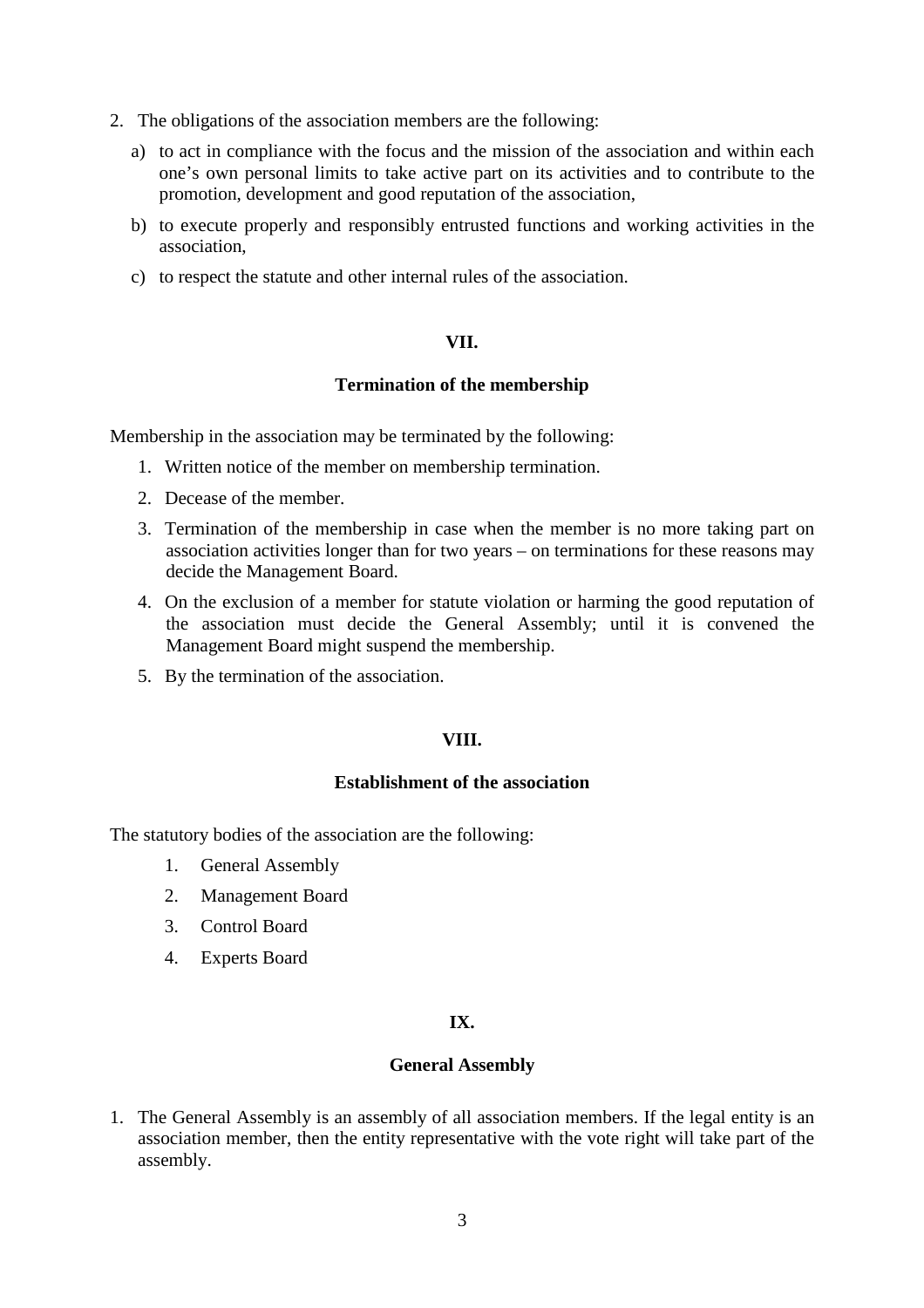- 2. The obligations of the association members are the following:
	- a) to act in compliance with the focus and the mission of the association and within each one's own personal limits to take active part on its activities and to contribute to the promotion, development and good reputation of the association,
	- b) to execute properly and responsibly entrusted functions and working activities in the association,
	- c) to respect the statute and other internal rules of the association.

## **VII.**

# **Termination of the membership**

Membership in the association may be terminated by the following:

- 1. Written notice of the member on membership termination.
- 2. Decease of the member.
- 3. Termination of the membership in case when the member is no more taking part on association activities longer than for two years – on terminations for these reasons may decide the Management Board.
- 4. On the exclusion of a member for statute violation or harming the good reputation of the association must decide the General Assembly; until it is convened the Management Board might suspend the membership.
- 5. By the termination of the association.

# **VIII.**

### **Establishment of the association**

The statutory bodies of the association are the following:

- 1. General Assembly
- 2. Management Board
- 3. Control Board
- 4. Experts Board

# **IX.**

# **General Assembly**

1. The General Assembly is an assembly of all association members. If the legal entity is an association member, then the entity representative with the vote right will take part of the assembly.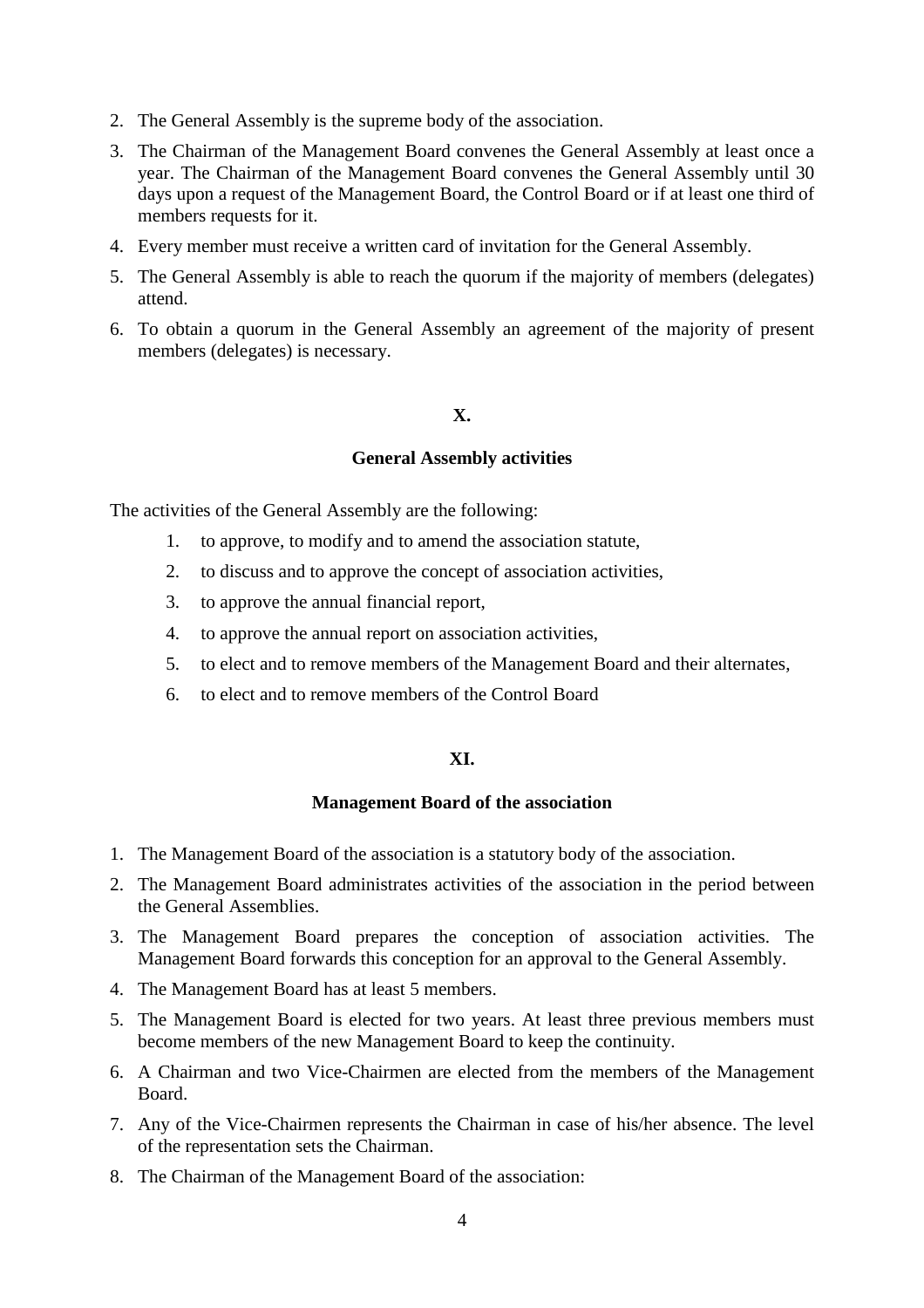- 2. The General Assembly is the supreme body of the association.
- 3. The Chairman of the Management Board convenes the General Assembly at least once a year. The Chairman of the Management Board convenes the General Assembly until 30 days upon a request of the Management Board, the Control Board or if at least one third of members requests for it.
- 4. Every member must receive a written card of invitation for the General Assembly.
- 5. The General Assembly is able to reach the quorum if the majority of members (delegates) attend.
- 6. To obtain a quorum in the General Assembly an agreement of the majority of present members (delegates) is necessary.

# **X.**

#### **General Assembly activities**

The activities of the General Assembly are the following:

- 1. to approve, to modify and to amend the association statute,
- 2. to discuss and to approve the concept of association activities,
- 3. to approve the annual financial report,
- 4. to approve the annual report on association activities,
- 5. to elect and to remove members of the Management Board and their alternates,
- 6. to elect and to remove members of the Control Board

# **XI.**

#### **Management Board of the association**

- 1. The Management Board of the association is a statutory body of the association.
- 2. The Management Board administrates activities of the association in the period between the General Assemblies.
- 3. The Management Board prepares the conception of association activities. The Management Board forwards this conception for an approval to the General Assembly.
- 4. The Management Board has at least 5 members.
- 5. The Management Board is elected for two years. At least three previous members must become members of the new Management Board to keep the continuity.
- 6. A Chairman and two Vice-Chairmen are elected from the members of the Management Board.
- 7. Any of the Vice-Chairmen represents the Chairman in case of his/her absence. The level of the representation sets the Chairman.
- 8. The Chairman of the Management Board of the association: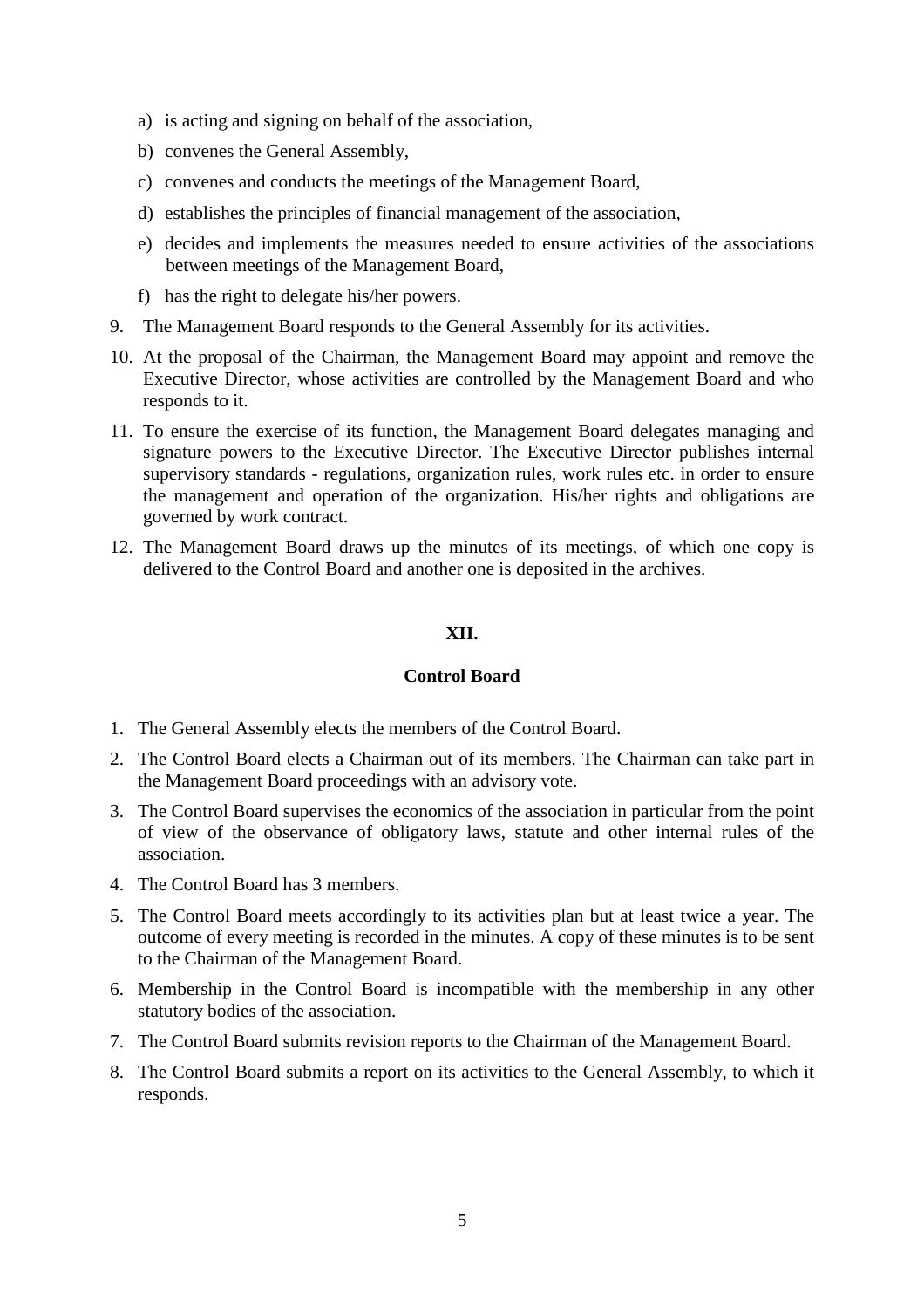- a) is acting and signing on behalf of the association,
- b) convenes the General Assembly,
- c) convenes and conducts the meetings of the Management Board,
- d) establishes the principles of financial management of the association,
- e) decides and implements the measures needed to ensure activities of the associations between meetings of the Management Board,
- f) has the right to delegate his/her powers.
- 9. The Management Board responds to the General Assembly for its activities.
- 10. At the proposal of the Chairman, the Management Board may appoint and remove the Executive Director, whose activities are controlled by the Management Board and who responds to it.
- 11. To ensure the exercise of its function, the Management Board delegates managing and signature powers to the Executive Director. The Executive Director publishes internal supervisory standards - regulations, organization rules, work rules etc. in order to ensure the management and operation of the organization. His/her rights and obligations are governed by work contract.
- 12. The Management Board draws up the minutes of its meetings, of which one copy is delivered to the Control Board and another one is deposited in the archives.

## **XII.**

# **Control Board**

- 1. The General Assembly elects the members of the Control Board.
- 2. The Control Board elects a Chairman out of its members. The Chairman can take part in the Management Board proceedings with an advisory vote.
- 3. The Control Board supervises the economics of the association in particular from the point of view of the observance of obligatory laws, statute and other internal rules of the association.
- 4. The Control Board has 3 members.
- 5. The Control Board meets accordingly to its activities plan but at least twice a year. The outcome of every meeting is recorded in the minutes. A copy of these minutes is to be sent to the Chairman of the Management Board.
- 6. Membership in the Control Board is incompatible with the membership in any other statutory bodies of the association.
- 7. The Control Board submits revision reports to the Chairman of the Management Board.
- 8. The Control Board submits a report on its activities to the General Assembly, to which it responds.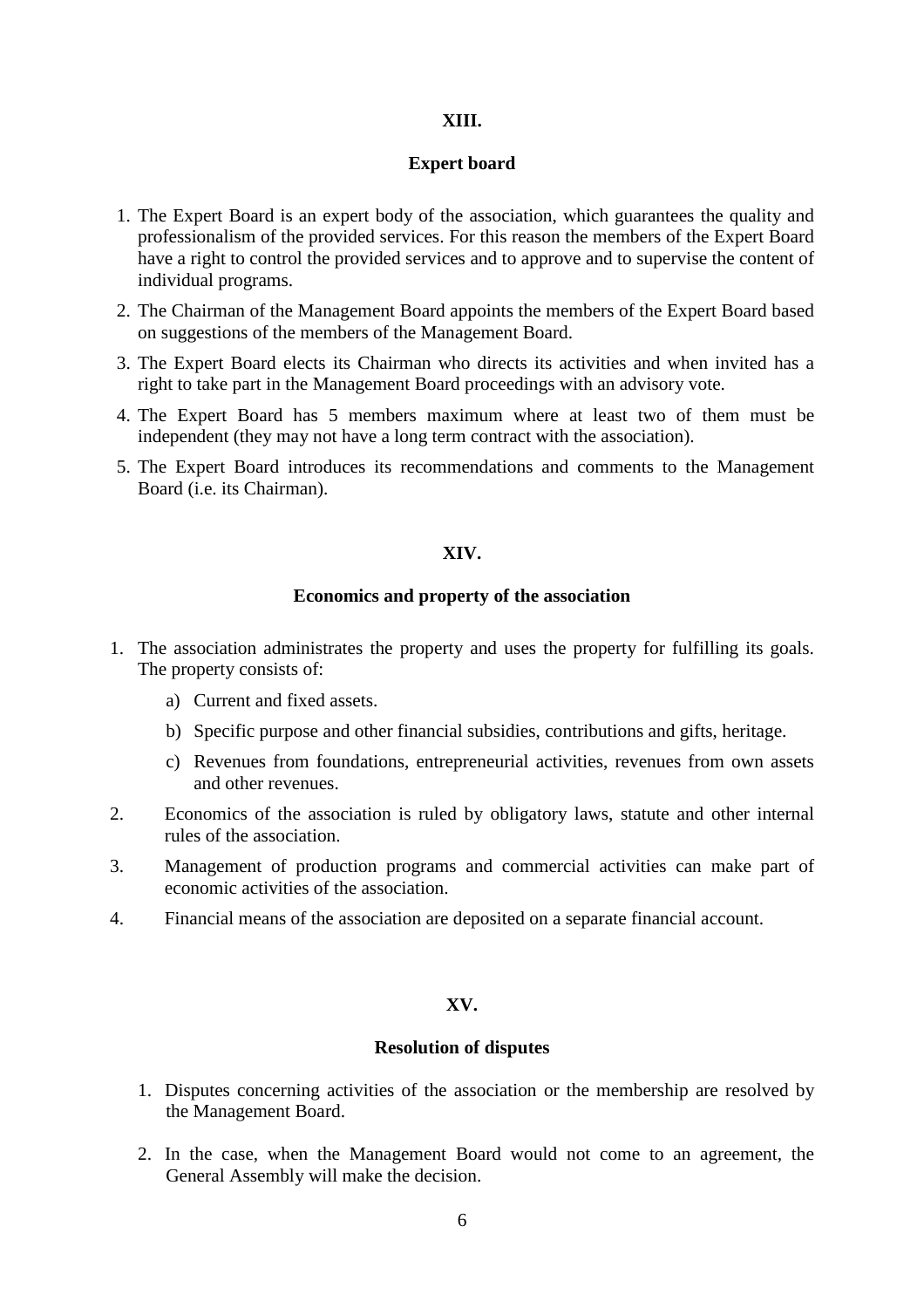### **XIII.**

# **Expert board**

- 1. The Expert Board is an expert body of the association, which guarantees the quality and professionalism of the provided services. For this reason the members of the Expert Board have a right to control the provided services and to approve and to supervise the content of individual programs.
- 2. The Chairman of the Management Board appoints the members of the Expert Board based on suggestions of the members of the Management Board.
- 3. The Expert Board elects its Chairman who directs its activities and when invited has a right to take part in the Management Board proceedings with an advisory vote.
- 4. The Expert Board has 5 members maximum where at least two of them must be independent (they may not have a long term contract with the association).
- 5. The Expert Board introduces its recommendations and comments to the Management Board (i.e. its Chairman).

### **XIV.**

#### **Economics and property of the association**

- 1. The association administrates the property and uses the property for fulfilling its goals. The property consists of:
	- a) Current and fixed assets.
	- b) Specific purpose and other financial subsidies, contributions and gifts, heritage.
	- c) Revenues from foundations, entrepreneurial activities, revenues from own assets and other revenues.
- 2. Economics of the association is ruled by obligatory laws, statute and other internal rules of the association.
- 3. Management of production programs and commercial activities can make part of economic activities of the association.
- 4. Financial means of the association are deposited on a separate financial account.

#### **XV.**

# **Resolution of disputes**

- 1. Disputes concerning activities of the association or the membership are resolved by the Management Board.
- 2. In the case, when the Management Board would not come to an agreement, the General Assembly will make the decision.